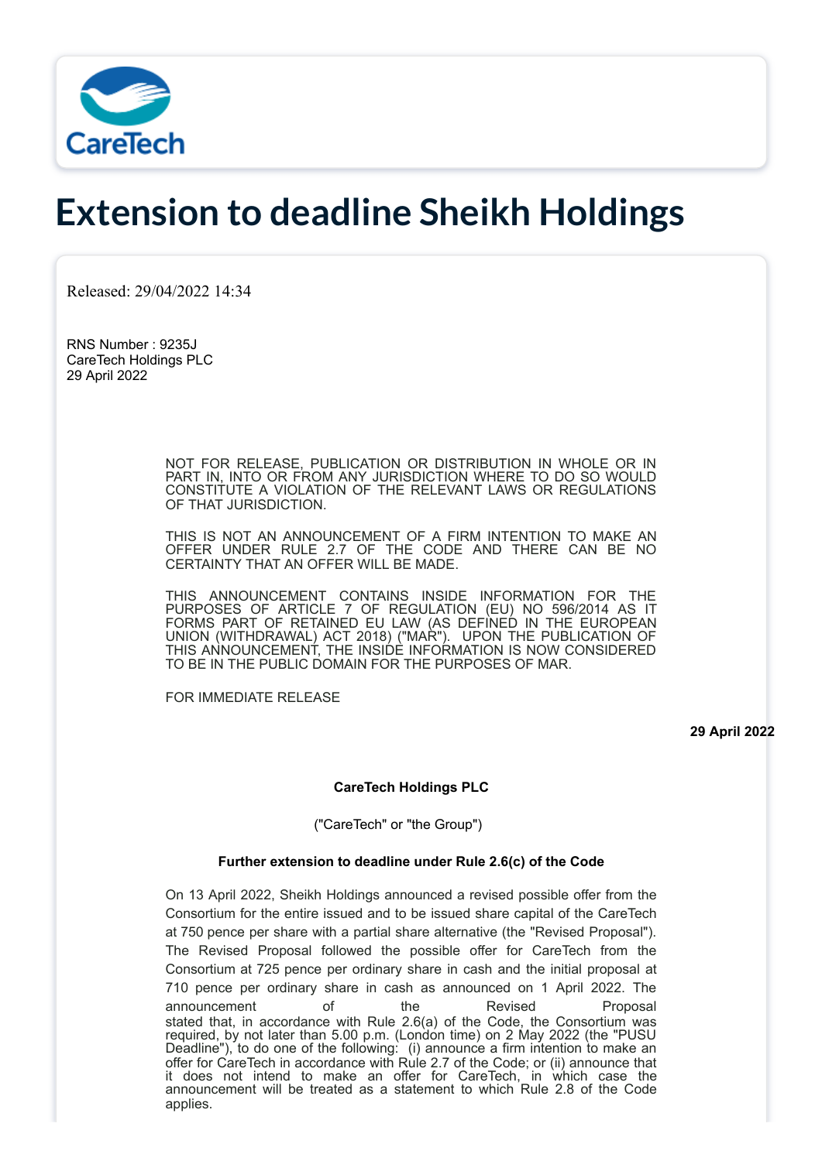

# **Extension to deadline Sheikh Holdings**

Released: 29/04/2022 14:34

RNS Number : 9235J CareTech Holdings PLC 29 April 2022

> NOT FOR RELEASE, PUBLICATION OR DISTRIBUTION IN WHOLE OR IN PART IN, INTO OR FROM ANY JURISDICTION WHERE TO DO SO WOULD CONSTITUTE A VIOLATION OF THE RELEVANT LAWS OR REGULATIONS OF THAT JURISDICTION.

> THIS IS NOT AN ANNOUNCEMENT OF A FIRM INTENTION TO MAKE AN OFFER UNDER RULE 2.7 OF THE CODE AND THERE CAN BE NO CERTAINTY THAT AN OFFER WILL BE MADE.

> THIS ANNOUNCEMENT CONTAINS INSIDE INFORMATION FOR THE PURPOSES OF ARTICLE 7 OF REGULATION (EU) NO 596/2014 AS IT FORMS PART OF RETAINED EU LAW (AS DEFINED IN THE EUROPEAN UNION (WITHDRAWAL) ACT 2018) ("MAR"). UPON THE PUBLICATION OF THIS ANNOUNCEMENT, THE INSIDE INFORMATION IS NOW CONSIDERED TO BE IN THE PUBLIC DOMAIN FOR THE PURPOSES OF MAR.

FOR IMMEDIATE RELEASE

**29 April 2022**

## **CareTech Holdings PLC**

("CareTech" or "the Group")

## **Further extension to deadline under Rule 2.6(c) of the Code**

On 13 April 2022, Sheikh Holdings announced a revised possible offer from the Consortium for the entire issued and to be issued share capital of the CareTech at 750 pence per share with a partial share alternative (the "Revised Proposal"). The Revised Proposal followed the possible offer for CareTech from the Consortium at 725 pence per ordinary share in cash and the initial proposal at 710 pence per ordinary share in cash as announced on 1 April 2022. The announcement of the Revised Proposal stated that, in accordance with Rule 2.6(a) of the Code, the Consortium was required, by not later than 5.00 p.m. (London time) on 2 May 2022 (the "PUSU Deadline"), to do one of the following: (i) announce a firm intention to make an offer for CareTech in accordance with Rule 2.7 of the Code; or (ii) announce that it does not intend to make an offer for CareTech, in which case the announcement will be treated as a statement to which Rule 2.8 of the Code applies.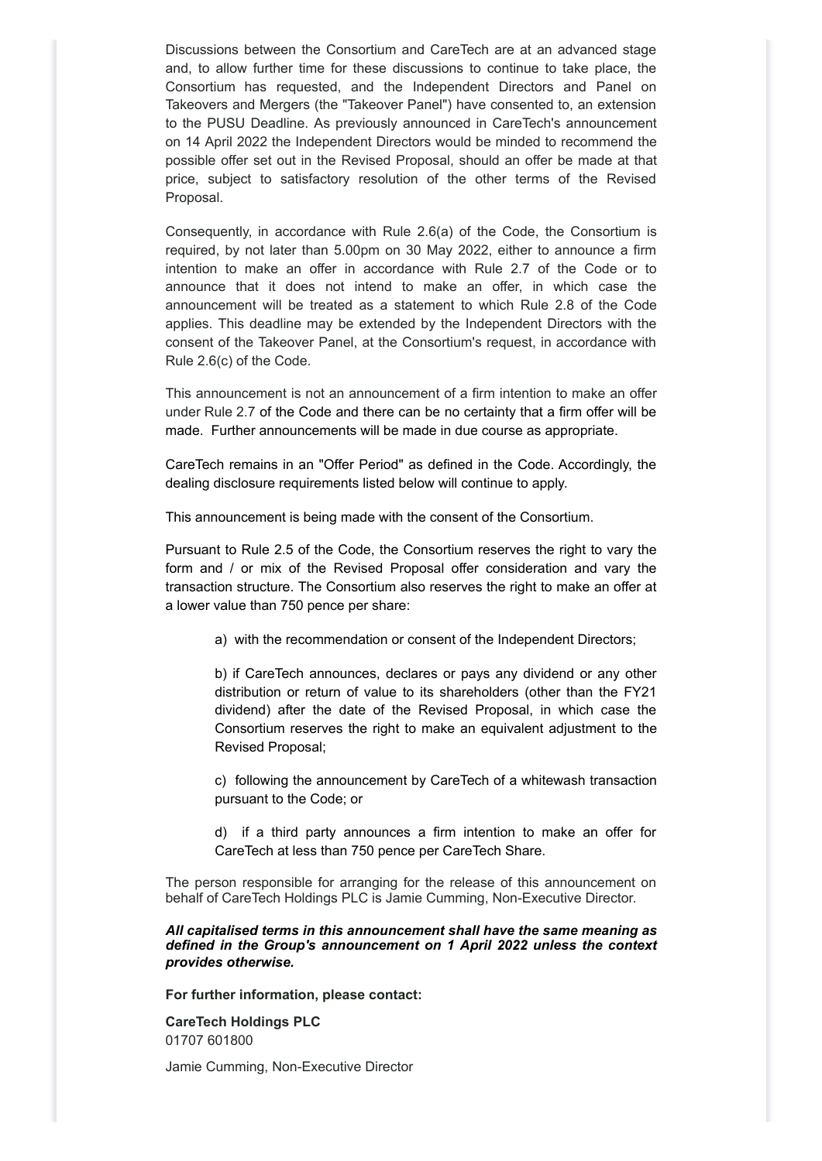Discussions between the Consortium and CareTech are at an advanced stage and, to allow further time for these discussions to continue to take place, the Consortium has requested, and the Independent Directors and Panel on Takeovers and Mergers (the "Takeover Panel") have consented to, an extension to the PUSU Deadline. As previously announced in CareTech's announcement on 14 April 2022 the Independent Directors would be minded to recommend the possible offer set out in the Revised Proposal, should an offer be made at that price, subject to satisfactory resolution of the other terms of the Revised Proposal.

Consequently, in accordance with Rule 2.6(a) of the Code, the Consortium is required, by not later than 5.00pm on 30 May 2022, either to announce a firm intention to make an offer in accordance with Rule 2.7 of the Code or to announce that it does not intend to make an offer, in which case the announcement will be treated as a statement to which Rule 2.8 of the Code applies. This deadline may be extended by the Independent Directors with the consent of the Takeover Panel, at the Consortium's request, in accordance with Rule 2.6(c) of the Code.

This announcement is not an announcement of a firm intention to make an offer under Rule 2.7 of the Code and there can be no certainty that a firm offer will be made. Further announcements will be made in due course as appropriate.

CareTech remains in an "Offer Period" as defined in the Code. Accordingly, the dealing disclosure requirements listed below will continue to apply.

This announcement is being made with the consent of the Consortium.

Pursuant to Rule 2.5 of the Code, the Consortium reserves the right to vary the form and / or mix of the Revised Proposal offer consideration and vary the transaction structure. The Consortium also reserves the right to make an offer at a lower value than 750 pence per share:

a) with the recommendation or consent of the Independent Directors;

b) if CareTech announces, declares or pays any dividend or any other distribution or return of value to its shareholders (other than the FY21 dividend) after the date of the Revised Proposal, in which case the Consortium reserves the right to make an equivalent adjustment to the Revised Proposal;

c) following the announcement by CareTech of a whitewash transaction pursuant to the Code; or

d) if a third party announces a firm intention to make an offer for CareTech at less than 750 pence per CareTech Share.

The person responsible for arranging for the release of this announcement on behalf of CareTech Holdings PLC is Jamie Cumming, Non-Executive Director.

*All capitalised terms in this announcement shall have the same meaning as defined in the Group's announcement on 1 April 2022 unless the context provides otherwise.*

**For further information, please contact:**

**CareTech Holdings PLC** 01707 601800

Jamie Cumming, Non-Executive Director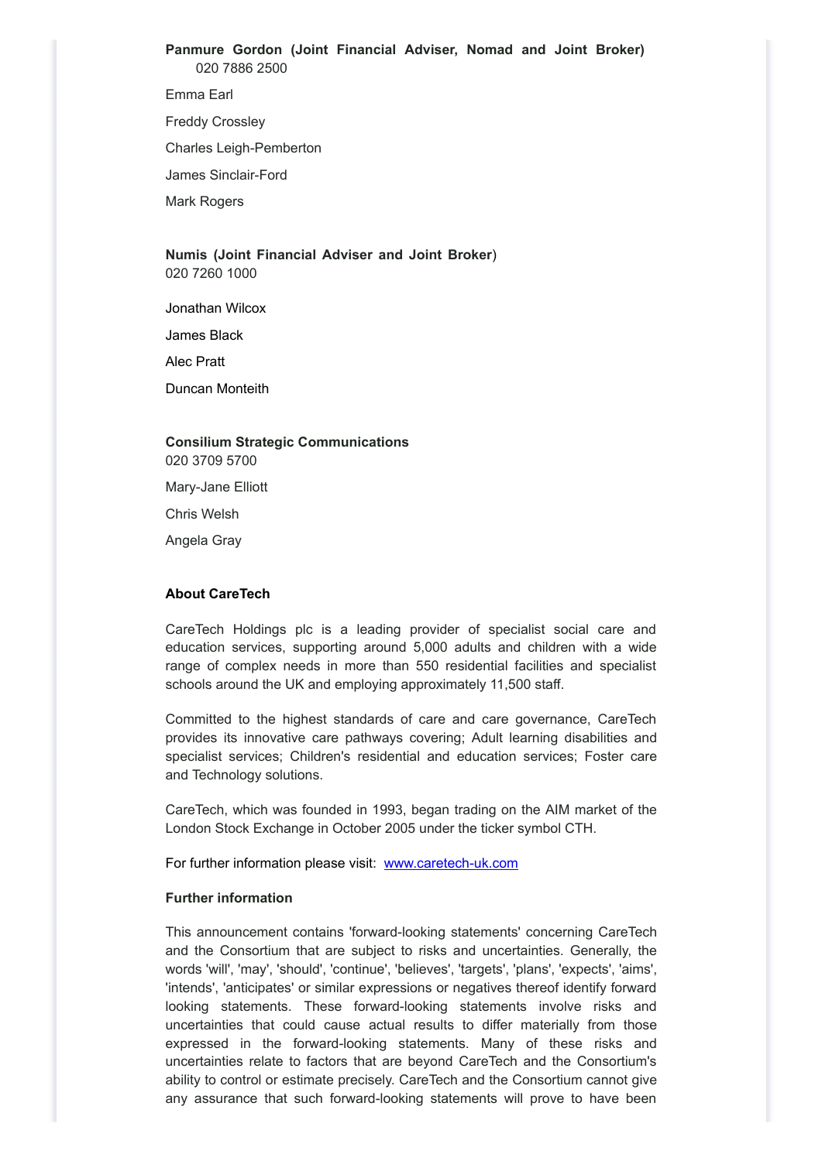**Panmure Gordon (Joint Financial Adviser, Nomad and Joint Broker)** 020 7886 2500

Emma Earl

Freddy Crossley

Charles Leigh-Pemberton

James Sinclair-Ford

Mark Rogers

## **Numis (Joint Financial Adviser and Joint Broker**) 020 7260 1000

Jonathan Wilcox

James Black

Alec Pratt

Duncan Monteith

## **Consilium Strategic Communications** 020 3709 5700

Mary-Jane Elliott

Chris Welsh

Angela Gray

## **About CareTech**

CareTech Holdings plc is a leading provider of specialist social care and education services, supporting around 5,000 adults and children with a wide range of complex needs in more than 550 residential facilities and specialist schools around the UK and employing approximately 11,500 staff.

Committed to the highest standards of care and care governance, CareTech provides its innovative care pathways covering; Adult learning disabilities and specialist services; Children's residential and education services; Foster care and Technology solutions.

CareTech, which was founded in 1993, began trading on the AIM market of the London Stock Exchange in October 2005 under the ticker symbol CTH.

For further information please visit: [www.caretech-uk.com](http://www.caretech-uk.com/)

## **Further information**

This announcement contains 'forward-looking statements' concerning CareTech and the Consortium that are subject to risks and uncertainties. Generally, the words 'will', 'may', 'should', 'continue', 'believes', 'targets', 'plans', 'expects', 'aims', 'intends', 'anticipates' or similar expressions or negatives thereof identify forward looking statements. These forward-looking statements involve risks and uncertainties that could cause actual results to differ materially from those expressed in the forward-looking statements. Many of these risks and uncertainties relate to factors that are beyond CareTech and the Consortium's ability to control or estimate precisely. CareTech and the Consortium cannot give any assurance that such forward-looking statements will prove to have been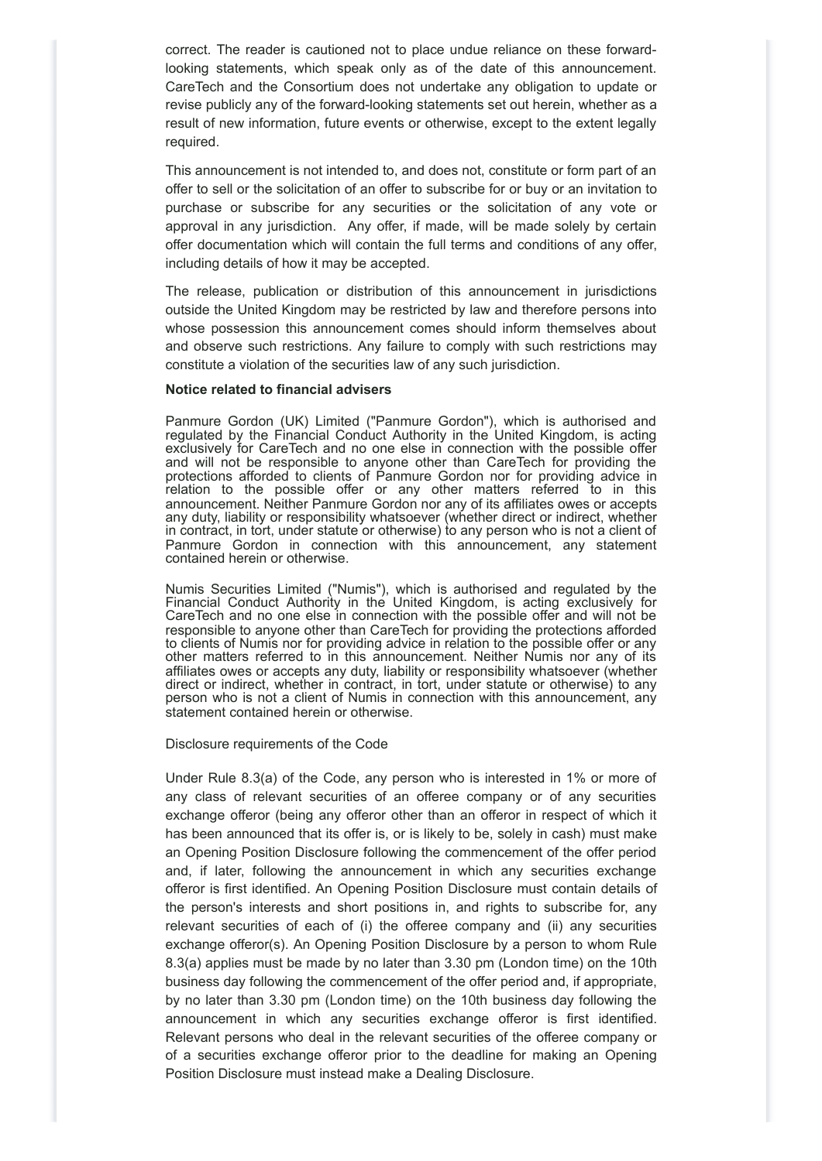correct. The reader is cautioned not to place undue reliance on these forwardlooking statements, which speak only as of the date of this announcement. CareTech and the Consortium does not undertake any obligation to update or revise publicly any of the forward-looking statements set out herein, whether as a result of new information, future events or otherwise, except to the extent legally required.

This announcement is not intended to, and does not, constitute or form part of an offer to sell or the solicitation of an offer to subscribe for or buy or an invitation to purchase or subscribe for any securities or the solicitation of any vote or approval in any jurisdiction. Any offer, if made, will be made solely by certain offer documentation which will contain the full terms and conditions of any offer, including details of how it may be accepted.

The release, publication or distribution of this announcement in jurisdictions outside the United Kingdom may be restricted by law and therefore persons into whose possession this announcement comes should inform themselves about and observe such restrictions. Any failure to comply with such restrictions may constitute a violation of the securities law of any such jurisdiction.

## **Notice related to financial advisers**

Panmure Gordon (UK) Limited ("Panmure Gordon"), which is authorised and regulated by the Financial Conduct Authority in the United Kingdom, is acting exclusively for CareTech and no one else in connection with the possible offer and will not be responsible to anyone other than CareTech for providing the protections afforded to clients of Panmure Gordon nor for providing advice in relation to the possible offer or any other matters referred to in this announcement. Neither Panmure Gordon nor any of its affiliates owes or accepts any duty, liability or responsibility whatsoever (whether direct or indirect, whether in contract, in tort, under statute or otherwise) to any person who is not a client of Panmure Gordon in connection with this announcement, any statement contained herein or otherwise.

Numis Securities Limited ("Numis"), which is authorised and regulated by the Financial Conduct Authority in the United Kingdom, is acting exclusively for CareTech and no one else in connection with the possible offer and will not be responsible to anyone other than CareTech for providing the protections afforded to clients of Numis nor for providing advice in relation to the possible offer or any other matters referred to in this announcement. Neither Numis nor any of its affiliates owes or accepts any duty, liability or responsibility whatsoever (whether direct or indirect, whether in contract, in tort, under statute or otherwise) to any person who is not a client of Numis in connection with this announcement, any statement contained herein or otherwise.

Disclosure requirements of the Code

Under Rule 8.3(a) of the Code, any person who is interested in 1% or more of any class of relevant securities of an offeree company or of any securities exchange offeror (being any offeror other than an offeror in respect of which it has been announced that its offer is, or is likely to be, solely in cash) must make an Opening Position Disclosure following the commencement of the offer period and, if later, following the announcement in which any securities exchange offeror is first identified. An Opening Position Disclosure must contain details of the person's interests and short positions in, and rights to subscribe for, any relevant securities of each of (i) the offeree company and (ii) any securities exchange offeror(s). An Opening Position Disclosure by a person to whom Rule 8.3(a) applies must be made by no later than 3.30 pm (London time) on the 10th business day following the commencement of the offer period and, if appropriate, by no later than 3.30 pm (London time) on the 10th business day following the announcement in which any securities exchange offeror is first identified. Relevant persons who deal in the relevant securities of the offeree company or of a securities exchange offeror prior to the deadline for making an Opening Position Disclosure must instead make a Dealing Disclosure.